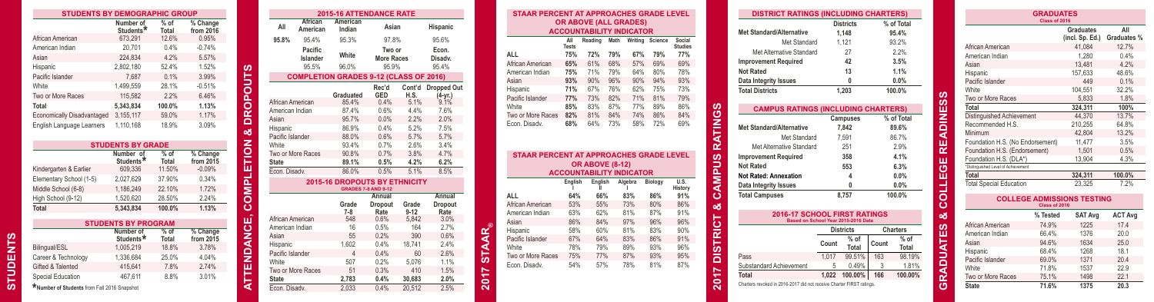| <b>STUDENTS BY DEMOGRAPHIC GROUP</b> |                                    |                 |                         |
|--------------------------------------|------------------------------------|-----------------|-------------------------|
|                                      | Number of<br>Students <sup>*</sup> | $%$ of<br>Total | % Change<br>from $2016$ |
| African American                     | 673,291                            | 12.6%           | 0.95%                   |
| American Indian                      | 20.701                             | 0.4%            | $-0.74%$                |
| Asian                                | 224.834                            | 4.2%            | 5.57%                   |
| Hispanic                             | 2.802.180                          | 52.4%           | 1.52%                   |
| Pacific Islander                     | 7.687                              | 0.1%            | 3.99%                   |
| White                                | 1,499,559                          | 28.1%           | $-0.51%$                |
| Two or More Races                    | 115,582                            | 2.2%            | 6.46%                   |
| Total                                | 5.343.834                          | 100.0%          | 1.13%                   |
| Economically Disadvantaged           | 3.155.117                          | 59.0%           | 1.17%                   |
| English Language Learners            | 1.110.168                          | 18.9%           | 3.09%                   |
|                                      | <b>STUDENTS BY GRADE</b>           |                 |                         |
|                                      | Number of<br>Students*             | $%$ of<br>Total | % Change<br>from 2015   |
| Kindergarten & Earlier               | 609,336                            | 11.50%          | $-0.09%$                |
| Elementary School (1-5)              | 2.027.629                          | 37.90%          | 0.34%                   |
|                                      |                                    |                 |                         |

|                         | <b>STUDENTS BY GRADE</b>           |                 |                                 |
|-------------------------|------------------------------------|-----------------|---------------------------------|
|                         | Number of<br>Students <sup>*</sup> | $%$ of<br>Total | $%$ Change<br>from $20\bar{1}5$ |
| Kindergarten & Earlier  | 609,336                            | 11.50%          | $-0.09%$                        |
| Elementary School (1-5) | 2.027.629                          | 37.90%          | 0.34%                           |
| Middle School (6-8)     | 1.186.249                          | 22.10%          | 1.72%                           |
| High School (9-12)      | 1.520.620                          | 28.50%          | 2.24%                           |
| Total                   | 5.343.834                          | 100.0%          | 1.13%                           |
|                         |                                    |                 |                                 |
|                         | <b>STUDENTS BY PROGRAM</b>         |                 |                                 |
|                         | Number of<br>Students <sup>*</sup> | $%$ of<br>Total | % Change<br>from 2015           |
| Bilingual/ESL           | 1,005,219                          | 18.8%           | 3.78%                           |
| Career & Technology     | 1,336,684                          | 25.0%           | 4.04%                           |
| Gifted & Talented       | 415.641                            | 7.8%            | 2.74%                           |
| Special Education       | 467.611                            | 8.8%            | 3.01%                           |

**STUDENTS** 

**STUDENTS** 

|                                             | <b>STUDENTS BY DEMOGRAPHIC GROUP</b> |                 |                                    |             |                              |                                               | <b>2015-16 ATTENDANCE RATE</b>       |                   |                   |                    |                                       | <b>STAAR PERCENT AT APPROACHES GRADE LEVEL</b> |                                                                 |                              |            |            |                |                               | <b>DISTRICT RATINGS (INCLUDING CHARTERS)</b>                                  |                                     |                          |             |                                     | <b>GRADUATES</b> |                                   |                |
|---------------------------------------------|--------------------------------------|-----------------|------------------------------------|-------------|------------------------------|-----------------------------------------------|--------------------------------------|-------------------|-------------------|--------------------|---------------------------------------|------------------------------------------------|-----------------------------------------------------------------|------------------------------|------------|------------|----------------|-------------------------------|-------------------------------------------------------------------------------|-------------------------------------|--------------------------|-------------|-------------------------------------|------------------|-----------------------------------|----------------|
|                                             | Number of<br>Students <sup>1</sup>   | $%$ of<br>Total | % Change<br>from $20\overline{1}6$ |             |                              | African<br>American                           | American<br>Indian                   | Asian             |                   | Hispanic           |                                       |                                                | <b>OR ABOVE (ALL GRADES)</b><br><b>ACCOUNTABILITY INDICATOR</b> |                              |            |            |                |                               | <b>Met Standard/Alternative</b>                                               | <b>Districts</b><br>1.148           | % of Total<br>95.4%      |             |                                     | Class of 2016    | <b>Graduates</b>                  | All            |
| African American                            | 673,291                              | 12.6%           | 0.95%                              |             | 95.8%                        | 95.4%                                         | 95.3%                                | 97.8%             |                   | 95.6%              |                                       |                                                |                                                                 | Reading Math Writing Science |            |            | Social         |                               | Met Standard                                                                  | 1.121                               | 93.2%                    |             |                                     |                  | (incl. Sp. Ed.)                   | Graduates %    |
| American Indian                             | 20,701                               | 0.4%            | $-0.74%$                           |             |                              | Pacific                                       |                                      | Two or            |                   | Econ.              |                                       |                                                | Tests                                                           |                              |            |            | <b>Studies</b> |                               | Met Alternative Standard                                                      | 27                                  | 2.2%                     |             | African American                    |                  | 41.084                            | 12.7%          |
| Asian                                       | 224,834                              | 4.2%            | 5.57%                              |             |                              | Islander                                      |                                      | <b>More Races</b> |                   | Disady.            |                                       |                                                | 75%                                                             | 72%<br>79%                   | 67%        |            |                |                               | <b>Improvement Required</b>                                                   | 42                                  | 3.5%                     |             | American Indian                     |                  | 1.280                             | 0.4%           |
| Hispanic                                    | 2,802,180                            | 52.4%           | 1.52%                              |             |                              | 95.5%                                         | 96.0%                                | 95.9%             |                   | 95.4%              |                                       | African American                               | 65%                                                             | 68%<br>61%<br>79%<br>71%     | 57%<br>64% | 69%<br>80% | 69%            |                               | <b>Not Rated</b>                                                              |                                     | 1.1%                     |             | Asian                               |                  | 13,481                            | 4.2%           |
| Pacific Islander                            | 7,687                                | 0.1%            | 3.99%                              | 5lo         |                              | <b>COMPLETION GRADES 9-12 (CLASS OF 2016)</b> |                                      |                   |                   |                    |                                       | American Indian<br>Asian                       |                                                                 | 96%<br>90%                   | 90%        | 94%        |                |                               | Data Integrity Issues                                                         |                                     | 0.0%                     |             | Hispanic<br>Pacific Islander        |                  | 157,633                           | 48.6%<br>0.1%  |
| <b>Nhite</b>                                | 1,499,559                            | 28.1%           | $-0.51%$                           |             |                              |                                               |                                      | Rec'd             |                   | Cont'd Dropped Out |                                       | Hispanic                                       |                                                                 | 76%<br>67%                   | 62%        |            |                |                               | <b>Total Districts</b>                                                        | 1.203                               | 100.0%                   |             | White                               |                  | 449<br>104.551                    | 32.2%          |
| Two or More Races                           | 115,582                              | 2.2%            | 6.46%                              |             |                              |                                               | Graduated                            | GED               | H.S.              | (4-yr.)            |                                       | Pacific Islander                               | 77%                                                             | 82%<br>73%                   | 71%        |            | 79%            |                               |                                                                               |                                     |                          |             | Two or More Races                   |                  | 5.833                             | 1.8%           |
| otal                                        | 5.343.834                            | 100.0%          | 1.13%                              | <b>ROP</b>  | African American             |                                               | 85.4%                                | 0.4%              | 5.1%              | 9.1%               |                                       | White                                          | 85%                                                             | 83%<br>87%                   | 77%        | 89%        | 86%            | ဖာ                            | <b>CAMPUS RATINGS (INCLUDING CHARTERS)</b>                                    |                                     |                          |             | Total                               |                  | 324.311                           | 100%           |
| Economically Disadvantaged                  | 3,155,117                            | 59.0%           | 1.17%                              |             | American Indian              |                                               | 87.4%                                | 0.6%              | 4.4%              | 7.6%               |                                       | Two or More Races                              | 82%                                                             | 81%<br>84%                   | 74%        | 86%        | 84%            |                               |                                                                               |                                     |                          | ш           | Distinguished Achievement           |                  | 44.370                            | 13.7%          |
| English Language Learners                   | 1,110,168                            | 18.9%           | 3.09%                              | $\Box$      | Asian                        |                                               | 95.7%                                | 0.0%              | 2.2%              | 2.0%               |                                       | Econ. Disadv.                                  | 68%                                                             | 73%<br>64%                   | 58%        | 72%        | 69%            | ق<br>≧                        | <b>Met Standard/Alternative</b>                                               | Campuses<br>7.842                   | % of Total<br>89.6%      | $rac{Z}{D}$ | Recommended H.S.                    |                  | 210,255                           | 64.8%          |
|                                             |                                      |                 |                                    |             | Hispanic<br>Pacific Islander |                                               | 86.9%<br>88.0%                       | 0.4%<br>0.6%      | 5.2%<br>5.7%      | 7.5%<br>5.7%       |                                       |                                                |                                                                 |                              |            |            |                |                               |                                                                               |                                     | 86.7%                    |             | Minimum                             |                  | 42.804                            | 13.2%          |
|                                             | <b>STUDENTS BY GRADE</b>             |                 |                                    |             |                              |                                               | 93.4%                                | 0.7%              | 2.6%              | 3.4%               |                                       |                                                |                                                                 |                              |            |            |                |                               | Met Standard                                                                  | 7,591<br>251                        |                          |             | Foundation H.S. (No Endorsement     |                  | 11.477                            | 3.5%           |
|                                             | Number of                            | % of            | % Change                           |             |                              | Two or More Races                             | 90.8%                                | 0.7%              | 3.8%              | 4.7%               |                                       | <b>STAAR PERCENT AT APPROACHES GRADE LEVEL</b> |                                                                 |                              |            |            |                |                               | Met Alternative Standard                                                      |                                     | 2.9%                     |             | Foundation H.S. (Endorsement)       |                  | 1.501                             | 0.5%           |
|                                             | Students <sup>*</sup>                | Total           | from 2015                          | <b>ETIO</b> | <b>State</b>                 |                                               | 89.1%                                | 0.5%              | 4.2%              | 6.2%               |                                       |                                                |                                                                 |                              |            |            |                | ဒိ                            | <b>Improvement Required</b>                                                   | 358                                 | 4.1%                     | ш           | Foundation H.S. (DLA*)              |                  | 13.904                            | 4.3%           |
| Kindergarten & Earlier                      | 609,336                              | 11.50%          | $-0.09%$                           |             | Econ. Disadv.                |                                               | 86.0%                                | 0.5%              | 5.1%              | 8.5%               |                                       |                                                | <b>ACCOUNTABILITY INDICATOR</b>                                 | <b>OR ABOVE (8-12)</b>       |            |            |                |                               | <b>Not Rated</b>                                                              | 553                                 | 6.3%                     |             | *Distinguished Level of Achievement |                  |                                   |                |
| Elementary School (1-5)                     | 2,027,629                            | 37.90%          | 0.34%                              | 군           |                              |                                               | <b>2015-16 DROPOUTS BY ETHNICITY</b> |                   |                   |                    |                                       |                                                | Enalish                                                         | English                      | Algebra    | Biology    | U.S.           | Š                             | <b>Not Rated: Annexation</b>                                                  |                                     | 0.0%                     |             | Total                               |                  | 324.311                           | 100.0%         |
| Middle School (6-8)                         | 1,186,249                            | 22.10%          | 1.72%                              | Σ           |                              |                                               | <b>GRADES 7-8 AND 9-12</b>           |                   |                   |                    |                                       |                                                |                                                                 |                              |            |            | History        |                               | Data Integrity Issues                                                         |                                     | 0.0%                     |             | <b>Total Special Education</b>      |                  | 23.325                            | 7.2%           |
| High School (9-12)                          | 1,520,620                            | 28.50%          | 2.24%                              | $\circ$     |                              |                                               |                                      | Annual            |                   | Annual             |                                       | <b>ALL</b>                                     | 64%                                                             |                              | 83%        | 86%        | 91%            | O                             | <b>Total Campuses</b>                                                         | 8.757                               | 100.0%                   |             |                                     |                  | <b>COLLEGE ADMISSIONS TESTING</b> |                |
| <b>Total</b>                                | 5,343,834                            | 100.0%          | 1.13%                              | ပ           |                              |                                               | Grade                                | Dropout           | Grade             | <b>Dropout</b>     |                                       | African American                               | 53%                                                             | 55%                          | 73%        | 80%        | 86%            | ٥ð                            |                                                                               |                                     |                          |             |                                     | Class of 2016    |                                   |                |
|                                             |                                      |                 |                                    | - -         | African American             |                                               | $7 - 8$<br>548                       | Rate<br>0.6%      | $9 - 12$<br>5,842 | Rate<br>3.0%       |                                       | American Indian                                | 63%                                                             | 62%                          | 81%        |            |                |                               |                                                                               | <b>2016-17 SCHOOL FIRST RATINGS</b> |                          | οð          |                                     | % Tested         | <b>SAT Ava</b>                    | <b>ACT Avg</b> |
|                                             | <b>STUDENTS BY PROGRAM</b>           |                 |                                    |             | American Indian              |                                               | 16                                   | 0.5%              | 164               | 2.7%               |                                       | Asian                                          | 86%                                                             | 84%                          | 97%        | 96%        | 96%            |                               |                                                                               | Based on School Year 2015-2016 Data |                          | ဖာ          | African American                    | 74.9%            | 1225                              | 17.4           |
|                                             | Number of                            | $%$ of          | % Change                           |             | Asian                        |                                               | 55                                   | 0.2%              | 390               | 0.6%               |                                       | Hispanic                                       | 58%                                                             | 60%                          | 81%        | 83%        |                | <b>TRIC</b>                   |                                                                               | <b>Districts</b>                    | <b>Charters</b>          | ш           | American Indian                     | 66.4%            | 1376                              | 20.0           |
| Bilingual/ESL                               | <b>Students</b><br>1,005,219         | Total<br>18.8%  | from $201$<br>3.78%                |             | Hispanic                     |                                               | 1.602                                | 0.4%              | 18.741            | 2.4%               |                                       | Pacific Islander<br><b>Nhite</b>               | 67%                                                             | 64%                          | 83%<br>89% | 86%        | 91%            |                               |                                                                               | $%$ of<br>Count<br>Total            | $%$ of<br>Count<br>Total |             | Asian                               | 94.6%            | 1634                              | 25.0           |
|                                             |                                      |                 |                                    |             | Pacific Islander             |                                               |                                      | 0.4%              | 60                | 2.6%               |                                       | Two or More Races                              | 78%<br>75%                                                      | 79%                          | 87%        | 93%<br>93% | 96%<br>95%     | m.                            |                                                                               | 1.017<br>99.51%                     | 98.19%                   | ∍           | Hispanic                            | 68.4%            | 1268                              | 18.1           |
| Career & Technology                         | 1.336.684                            | 25.0%           | 4.04%                              | TENDANC     | White                        |                                               | 507                                  | 0.2%              | 5,076             |                    |                                       | Econ. Disadv.                                  | 54%                                                             |                              | 78%        |            |                | ã                             | Pass<br>Substandard Achievement                                               | 0.49%                               | 163<br>1.81%             | $\Box$      | Pacific Islander                    | 69.0%            | 1371                              | 20.4           |
| Gifted & Talented                           | 415,641                              | 7.8%            | 2.74%                              |             |                              | Two or More Races                             | 51                                   | 0.3%              | 410               | 1.5%               | ~                                     |                                                |                                                                 |                              |            |            |                |                               |                                                                               |                                     |                          | и           | <b>Nhite</b>                        | 71.8%            | 1537                              | 22.9           |
| Special Education                           | 467,611                              | 8.8%            | 3.01%                              |             | <b>State</b>                 |                                               | 2.783                                | 0.4%              | 30.683            | 2.0%               | $\overline{\phantom{a}}$<br>$\bullet$ |                                                |                                                                 |                              |            |            |                | $\overline{\phantom{0}}$<br>0 | Total<br>Charters revoked in 2016-2017 did not receive Charter FIRST ratings. | 1,022 100.00%                       | 100.00%<br>166           |             | Two or More Races                   | 75.1%            | 1498                              | 22.1           |
| *Number of Students from Fall 2016 Snapshot |                                      |                 |                                    |             | Econ. Disadv.                |                                               | 2.033                                | 0.4%              | 20.512            | 2.5%               | $\mathbf{\Omega}$                     |                                                |                                                                 |                              |            |            |                |                               |                                                                               |                                     |                          |             | State                               | 71.6%            | 1375                              | 20.3           |
|                                             |                                      |                 |                                    |             |                              |                                               |                                      |                   |                   |                    |                                       |                                                |                                                                 |                              |            |            |                |                               |                                                                               |                                     |                          |             |                                     |                  |                                   |                |

|                               | African           | <b>2015-16 ATTENDANCE RATE</b><br>American                         |                    |                   |                    |                                                      | <b>STAAR PERCENT AT APPROACHES GRADE LEVEL</b> |            | <b>OR ABOVE (ALL GRADES)</b>    |            |                          |                          |                    | <b>DISTRICT RATINGS (INCLUDING CHARTERS)</b>                        | <b>Districts</b>                                        | % of Total      |                     |                                     | <b>GRADUATES</b><br>Class of 2016                  |                              |                 |
|-------------------------------|-------------------|--------------------------------------------------------------------|--------------------|-------------------|--------------------|------------------------------------------------------|------------------------------------------------|------------|---------------------------------|------------|--------------------------|--------------------------|--------------------|---------------------------------------------------------------------|---------------------------------------------------------|-----------------|---------------------|-------------------------------------|----------------------------------------------------|------------------------------|-----------------|
| All                           | American          | Indian                                                             | Asian              |                   | Hispanic           |                                                      |                                                |            | <b>ACCOUNTABILITY INDICATOR</b> |            |                          |                          |                    | <b>Met Standard/Alternative</b>                                     | 1.148                                                   | 95.4%           |                     |                                     |                                                    | Graduates<br>(incl. Sp. Ed.) | All<br>Graduate |
| 95.8%                         | 95.4%<br>Pacific  | 95.3%                                                              | 97.8%<br>Two or    |                   | 95.6%<br>Econ.     |                                                      |                                                | Tests      | Reading Math Writing Science    |            |                          | Social<br><b>Studies</b> |                    | Met Standard<br>Met Alternative Standard                            | 1.121<br>27                                             | 93.2%<br>2.2%   |                     | African American                    |                                                    | 41.084                       | 12.7%           |
|                               | Islander          | White                                                              | <b>More Races</b>  |                   | Disadv.            |                                                      | <b>ALL</b>                                     | 75%        | 72%                             |            | 79%<br>67%               | 77%                      |                    | <b>Improvement Required</b>                                         | 42                                                      | 3.5%            |                     | American Indian                     |                                                    | 1.280                        | 0.4%            |
|                               | 95.5%             | 96.0%                                                              | 95.9%              |                   | 95.4%              |                                                      | African American<br>American Indian            | 65%<br>75% | 61%<br>71%                      | 68%<br>79% | 57%<br>69%<br>80%<br>64% |                          | 69%<br>78%         | <b>Not Rated</b>                                                    |                                                         | 1.1%            |                     | Asian<br>Hispanic                   |                                                    | 13,481<br>157.633            | 4.2%<br>48.6%   |
|                               |                   | <b>COMPLETION GRADES 9-12 (CLASS OF 2016)</b>                      |                    |                   |                    |                                                      | Asian                                          | 93%        | 90%                             | 96%        | 90%<br>94%               |                          | 93%                | Data Integrity Issues                                               |                                                         | 0.0%            |                     | Pacific Islander                    |                                                    | 449                          | 0.1%            |
|                               |                   |                                                                    | Rec'd              |                   | Cont'd Dropped Out |                                                      | Hispanic                                       | 71%        | 67%                             | 76%        | 62%                      | 73%<br>75%               |                    | <b>Total Districts</b>                                              | 1.203                                                   | 100.0%          |                     | White                               |                                                    | 104.551                      | 32.2%           |
| African American              |                   | Graduated<br>85.4%                                                 | <b>GED</b><br>0.4% | H.S.<br>5.1%      | $(4-yr.)$<br>9.1%  |                                                      | Pacific Islander                               | 77%        | 73%                             | 82%        | 71%<br>81%               |                          | 79%                |                                                                     |                                                         |                 | ഗ<br><b>SC</b>      | Two or More Races                   |                                                    | 5.833                        | 1.8%            |
| American Indian               |                   | 87.4%                                                              | 0.6%               | 4.4%              | 7.6%               |                                                      | White                                          |            |                                 | 87%        | 89%<br>77%               |                          | 86%<br>ဖာ          | <b>CAMPUS RATINGS (INCLUDING CHARTERS)</b>                          |                                                         |                 |                     | Total                               |                                                    | 324.311                      | 100%            |
| Asian                         |                   | 95.7%                                                              | 0.0%               | 2.2%              | 2.0%               |                                                      | Two or More Races                              | 82%        | 81%                             | 84%        | 74%<br>86%               | 84%                      | ÖΣ                 |                                                                     | <b>Campuses</b>                                         | % of Total      | <b>ADINE:</b>       | <b>Distinguished Achievement</b>    |                                                    | 44.370                       | 13.7%           |
| Hispanic                      |                   | 86.9%                                                              | 0.4%               | 5.2%              | 7.5%               |                                                      | Econ. Disadv.                                  | 68%        | 64%                             | 73%        | 58%                      | 72%                      | 69%                | <b>Met Standard/Alternative</b>                                     | 7.842                                                   | 89.6%           |                     | Recommended H.S.<br>Minimum         |                                                    | 210,255<br>42.804            | 64.8%<br>13.2%  |
| Pacific Islander              |                   | 88.0%                                                              | 0.6%               | 5.7%              | 5.7%               |                                                      |                                                |            |                                 |            |                          |                          |                    | Met Standard                                                        | 7.591                                                   | 86.7%           |                     | Foundation H.S. (No Endorsement)    |                                                    | 11.477                       | 3.5%            |
| White                         |                   | 93.4%                                                              | 0.7%               | 2.6%              | 3.4%               |                                                      |                                                |            |                                 |            |                          |                          | $\alpha$           | Met Alternative Standard                                            | 251                                                     | 2.9%            | RE.                 | Foundation H.S. (Endorsement)       |                                                    | 1.501                        | 0.5%            |
|                               | Two or More Races | 90.8%                                                              | 0.7%               | 3.8%              | 4.7%               |                                                      | <b>STAAR PERCENT AT APPROACHES GRADE LEVEL</b> |            |                                 |            |                          |                          |                    | <b>Improvement Required</b>                                         | 358                                                     | 4.1%            | ш                   | Foundation H.S. (DLA*)              |                                                    | 13.904                       | 4.3%            |
| <b>State</b><br>Econ. Disadv. |                   | 89.1%<br>86.0%                                                     | 0.5%<br>0.5%       | 4.2%<br>5.1%      | 6.2%<br>8.5%       |                                                      |                                                |            | <b>OR ABOVE (8-12)</b>          |            |                          |                          |                    | <b>Not Rated</b>                                                    | 553                                                     | 6.3%            | ඏ                   | *Distinguished Level of Achievement |                                                    |                              |                 |
|                               |                   |                                                                    |                    |                   |                    |                                                      |                                                |            | <b>ACCOUNTABILITY INDICATOR</b> |            |                          |                          |                    | <b>Not Rated: Annexation</b>                                        |                                                         | 0.0%            | ш                   | Total                               |                                                    | 324.311                      | 100.0%          |
|                               |                   | <b>2015-16 DROPOUTS BY ETHNICITY</b><br><b>GRADES 7-8 AND 9-12</b> |                    |                   |                    |                                                      |                                                | Enalish    | English                         | Algebra    | Biology                  | U.S.<br>History          | AMPUS              | <b>Data Integrity Issues</b>                                        |                                                         | $0.0\%$         | ب                   | <b>Total Special Education</b>      |                                                    | 23,325                       | 7.2%            |
|                               |                   | Grade                                                              | Annual<br>Dropout  | Grade             | Annual<br>Dropout  |                                                      | <b>ALL</b><br>African American                 | 64%<br>53% | 66%<br>55%                      | 83%<br>73% | 86%<br>80%               | 91%<br>86%               | ပ<br>య             | <b>Total Campuses</b>                                               | 8.757                                                   | 100.0%          | $\overline{5}$<br>ပ |                                     | <b>COLLEGE ADMISSIONS TESTING</b><br>Class of 2016 |                              |                 |
| African American              |                   | $7 - 8$<br>548                                                     | Rate<br>0.6%       | $9 - 12$<br>5.842 | Rate<br>3.0%       |                                                      | American Indian                                | 63%        | 62%                             | 81%        | 87%                      | 91%                      |                    | 2016-17 SCHOOL FIRST RATINGS                                        |                                                         |                 | య                   |                                     | % Tested                                           | <b>SAT Ava</b>               | <b>ACT Av</b>   |
| American Indian               |                   |                                                                    | 0.5%               | 164               | 2.7%               | $\mathbf{r}$                                         | Asian                                          | 86%<br>58% | 84%<br>60%                      | 97%<br>81% | 96%<br>83%               | 96%                      | <b>TRIC</b><br>90% |                                                                     | Based on School Year 2015-2016 Data<br><b>Districts</b> | <b>Charters</b> |                     | African American                    | 74.9%                                              | 1225                         | 17.4            |
| Asian                         |                   | 55                                                                 | 0.2%               | 390               | 0.6%               |                                                      | Hispanic<br>Pacific Islander                   | 67%        | 64%                             | 83%        | 86%                      | 91%                      |                    |                                                                     | $%$ of                                                  | $%$ of          |                     | American Indian                     | 66.4%                                              | 1376                         | 20.0            |
| Hispanic                      |                   | 1.602                                                              | 0.4%               | 18.741            | 2.4%               | <b>STAAI</b>                                         | White                                          | 78%        | 79%                             | 89%        | 93%                      | 96%                      | ်ဟ                 |                                                                     | Count<br>Total                                          | Count<br>Total  |                     | Asian                               | 94.6%                                              | 1634                         | 25.0            |
| Pacific Islander              |                   |                                                                    | 0.4%               | 60                | 2.6%               |                                                      | Two or More Races                              | 75%        | 77%                             | 87%        | 93%                      | 95%                      | ä                  | Pass                                                                | 99.51%<br>1.017                                         | 98.19%<br>163   |                     | Hispanic                            | 68.4%                                              | 1268                         | 18.1            |
| White                         |                   | 507                                                                | 0.2%               | 5,076             | 1.1%               |                                                      | Econ. Disadv.                                  | 54%        | 57%                             | 78%        | 81%                      | 87%                      |                    | Substandard Achievement                                             | 0.49%                                                   | 1.81%           |                     | Pacific Islander<br>White           | 69.0%<br>71.8%                                     | 1371<br>1537                 | 20.4<br>22.9    |
| <b>State</b>                  | Two or More Races | 51<br>2.783                                                        | 0.3%<br>0.4%       | 410<br>30.683     | 1.5%<br>2.0%       | $\overline{\phantom{0}}$<br>$\overline{\phantom{a}}$ |                                                |            |                                 |            |                          |                          | ∼<br>↽             | Total                                                               | 100.00%<br>1.022                                        | 100.00%<br>166  | RADUATES            | Two or More Races                   | 75.1%                                              | 1498                         | 22.1            |
|                               |                   |                                                                    |                    |                   |                    | $\bullet$                                            |                                                |            |                                 |            |                          |                          | $\bullet$          | Charters revoked in 2016-2017 did not receive Charter FIPST rations |                                                         |                 |                     |                                     | $-1.01$                                            | 1077                         | $\sim$          |

| <b>STAAR PERCENT AT APPROACHES GRADE LEVEL</b> |                     |                        |     |                                                                 |         |                          |
|------------------------------------------------|---------------------|------------------------|-----|-----------------------------------------------------------------|---------|--------------------------|
|                                                |                     |                        |     | <b>OR ABOVE (ALL GRADES)</b><br><b>ACCOUNTABILITY INDICATOR</b> |         |                          |
|                                                | All<br><b>Tests</b> | Reading                |     | Math Writing Science                                            |         | Social<br><b>Studies</b> |
| ALL                                            | 75%                 | 72%                    | 79% | 67%                                                             | 79%     | 77%                      |
| African American                               | 65%                 | 61%                    | 68% | 57%                                                             | 69%     | 69%                      |
| American Indian                                | 75%                 | 71%                    | 79% | 64%                                                             | 80%     | 78%                      |
| Asian                                          | 93%                 | 90%                    | 96% | 90%                                                             | 94%     | 93%                      |
| Hispanic                                       | 71%                 | 67%                    | 76% | 62%                                                             | 75%     | 73%                      |
| Pacific Islander                               | <b>77%</b>          | 73%                    | 82% | 71%                                                             | 81%     | 79%                      |
| White                                          | 85%                 | 83%                    | 87% | 77%                                                             | 89%     | 86%                      |
| Two or More Races                              | 82%                 | 81%                    | 84% | 74%                                                             | 86%     | 84%                      |
| Econ. Disadv.                                  | 68%                 | 64%                    | 73% | 58%                                                             | 72%     | 69%                      |
|                                                |                     |                        |     |                                                                 |         |                          |
|                                                |                     |                        |     |                                                                 |         |                          |
| <b>STAAR PERCENT AT APPROACHES GRADE LEVEL</b> |                     |                        |     |                                                                 |         |                          |
|                                                |                     | <b>OR ABOVE (8-12)</b> |     |                                                                 |         |                          |
|                                                |                     |                        |     | <b>ACCOUNTABILITY INDICATOR</b>                                 |         |                          |
|                                                | English             | English                |     | Algebra                                                         | Biology | U.S.<br>History          |
| ALL                                            | 64%                 | 66%                    |     | 83%                                                             | 86%     | 91%                      |
| African American                               | 53%                 | 55%                    |     | 73%                                                             | 80%     | 86%                      |
| American Indian                                | 63%                 | 62%                    |     | 81%                                                             | 87%     | 91%                      |
| Asian                                          | 86%                 | 84%                    |     | 97%                                                             | 96%     | 96%                      |
| Hispanic                                       | 58%                 | 60%                    |     | 81%                                                             | 83%     | 90%                      |
| Pacific Islander                               | 67%                 | 64%                    |     | 83%                                                             | 86%     | 91%                      |
| White                                          | 78%                 | 79%                    |     | 89%                                                             | 93%     | 96%                      |
| Two or More Races                              | 75%                 | 77%                    |     | 87%                                                             | 93%     | 95%                      |
| Econ. Disadv.                                  | 54%                 | 57%                    |     | 78%                                                             | 81%     | 87%                      |
|                                                |                     |                        |     |                                                                 |         |                          |
|                                                |                     |                        |     |                                                                 |         |                          |
|                                                |                     |                        |     |                                                                 |         |                          |

|                                     | <b>GRADUATES</b><br>Class of 2016 |                                   |                    |  |  |
|-------------------------------------|-----------------------------------|-----------------------------------|--------------------|--|--|
|                                     |                                   | Graduates<br>(incl. Sp. Ed.)      | All<br>Graduates % |  |  |
| African American                    |                                   | 41.084                            | 12.7%              |  |  |
| American Indian                     |                                   | 1.280                             | 0.4%               |  |  |
| Asian                               |                                   | 13.481                            | 4.2%               |  |  |
| Hispanic                            |                                   | 157.633                           | 48.6%              |  |  |
| Pacific Islander                    |                                   | 449                               | 0.1%               |  |  |
| White                               |                                   | 104.551                           | 32.2%              |  |  |
| Two or More Races                   |                                   | 5,833                             | 1.8%               |  |  |
| Total                               | 324.311                           | 100%                              |                    |  |  |
| Distinguished Achievement           |                                   | 44.370                            | 13.7%              |  |  |
| Recommended H.S.                    | 210.255                           | 64.8%                             |                    |  |  |
| Minimum                             |                                   | 42.804                            | 13.2%              |  |  |
| Foundation H.S. (No Endorsement)    |                                   | 11.477                            | 3.5%               |  |  |
| Foundation H.S. (Endorsement)       |                                   | 1.501                             | 0.5%               |  |  |
| Foundation H.S. (DLA*)              |                                   | 13.904                            | 4.3%               |  |  |
| *Distinguished Level of Achievement |                                   |                                   |                    |  |  |
| Total                               |                                   | 324,311                           | 100.0%             |  |  |
| <b>Total Special Education</b>      |                                   | 23.325                            | 7.2%               |  |  |
|                                     | Class of 2016                     | <b>COLLEGE ADMISSIONS TESTING</b> |                    |  |  |
|                                     | % Tested                          | <b>SAT Avg</b>                    | <b>ACT Avg</b>     |  |  |
| African American                    | 74.9%                             | 1225                              | 17.4               |  |  |
| American Indian<br>66.4%            |                                   | 1376                              | 20.0               |  |  |
| Asian                               | 94.6%                             | 1634                              | 25.0               |  |  |
| Hispanic<br>68.4%                   |                                   | 1268                              | 18.1               |  |  |
| Pacific Islander<br>69.0%           |                                   | 1371                              | 20.4               |  |  |
| White                               | 71.8%                             | 1537                              | 22.9               |  |  |
| Two or More Races                   | 75.1%                             | 1498                              | 22.1               |  |  |